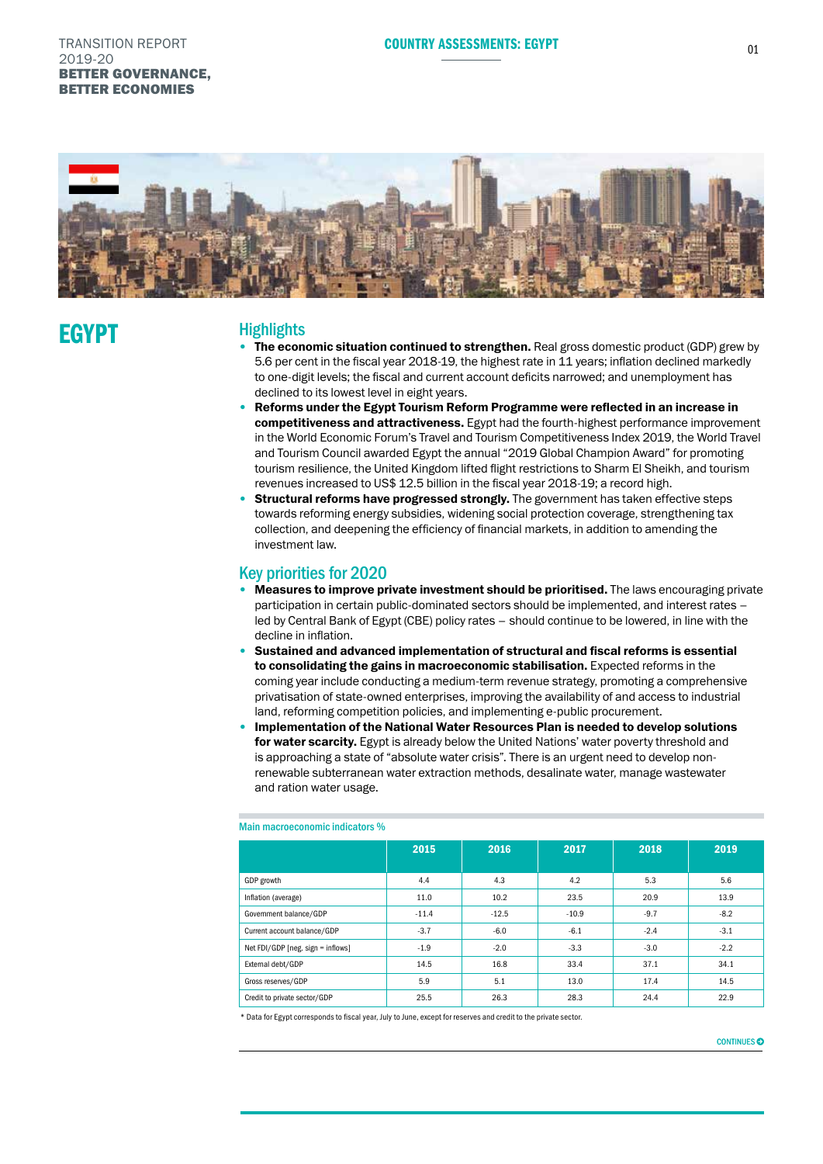## TRANSITION REPORT **EGYPT** 01 NOTES TO COUNTRY ASSESSMENTS: EGYPT 2019-20 BETTER GOVERNANCE, BETTER ECONOMIES



# **EGYPT**

# **Highlights**

- The economic situation continued to strengthen. Real gross domestic product (GDP) grew by 5.6 per cent in the fiscal year 2018-19, the highest rate in 11 years; inflation declined markedly to one-digit levels; the fiscal and current account deficits narrowed; and unemployment has declined to its lowest level in eight years.
- Reforms under the Egypt Tourism Reform Programme were reflected in an increase in competitiveness and attractiveness. Egypt had the fourth-highest performance improvement in the World Economic Forum's Travel and Tourism Competitiveness Index 2019, the World Travel and Tourism Council awarded Egypt the annual "2019 Global Champion Award" for promoting tourism resilience, the United Kingdom lifted flight restrictions to Sharm El Sheikh, and tourism revenues increased to US\$ 12.5 billion in the fiscal year 2018-19; a record high.
- **Structural reforms have progressed strongly.** The government has taken effective steps towards reforming energy subsidies, widening social protection coverage, strengthening tax collection, and deepening the efficiency of financial markets, in addition to amending the investment law.

# Key priorities for 2020

- Measures to improve private investment should be prioritised. The laws encouraging private participation in certain public-dominated sectors should be implemented, and interest rates – led by Central Bank of Egypt (CBE) policy rates – should continue to be lowered, in line with the decline in inflation.
- Sustained and advanced implementation of structural and fiscal reforms is essential to consolidating the gains in macroeconomic stabilisation. Expected reforms in the coming year include conducting a medium-term revenue strategy, promoting a comprehensive privatisation of state-owned enterprises, improving the availability of and access to industrial land, reforming competition policies, and implementing e-public procurement.
- Implementation of the National Water Resources Plan is needed to develop solutions for water scarcity. Egypt is already below the United Nations' water poverty threshold and is approaching a state of "absolute water crisis". There is an urgent need to develop nonrenewable subterranean water extraction methods, desalinate water, manage wastewater and ration water usage.

|                                   | 2015    | 2016    | 2017    | 2018   | 2019   |
|-----------------------------------|---------|---------|---------|--------|--------|
| GDP growth                        | 4.4     | 4.3     | 4.2     | 5.3    | 5.6    |
| Inflation (average)               | 11.0    | 10.2    | 23.5    | 20.9   | 13.9   |
| Government balance/GDP            | $-11.4$ | $-12.5$ | $-10.9$ | $-9.7$ | $-8.2$ |
| Current account balance/GDP       | $-3.7$  | $-6.0$  | $-6.1$  | $-2.4$ | $-3.1$ |
| Net FDI/GDP [neg. sign = inflows] | $-1.9$  | $-2.0$  | $-3.3$  | $-3.0$ | $-2.2$ |
| External debt/GDP                 | 14.5    | 16.8    | 33.4    | 37.1   | 34.1   |
| Gross reserves/GDP                | 5.9     | 5.1     | 13.0    | 17.4   | 14.5   |
| Credit to private sector/GDP      | 25.5    | 26.3    | 28.3    | 24.4   | 22.9   |

### Main macroeconomic indicators %

\* Data for Egypt corresponds to fiscal year, July to June, except for reserves and credit to the private sector.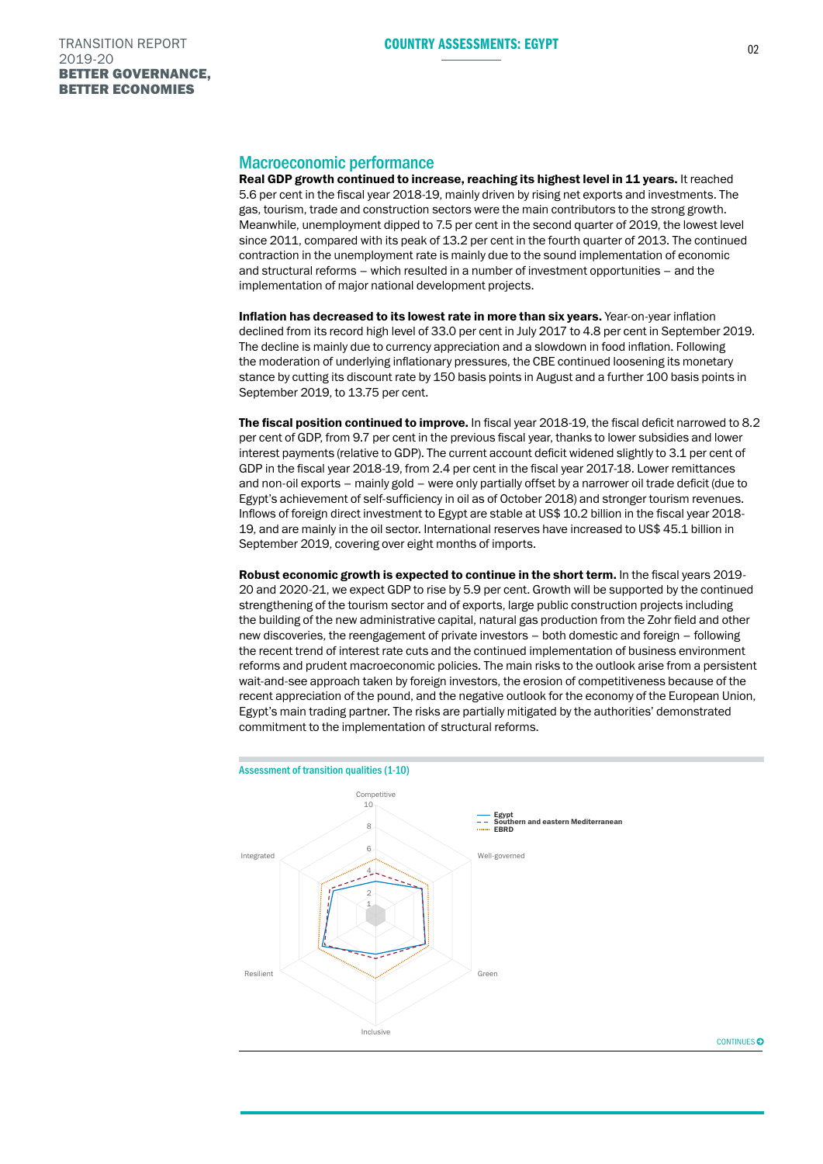## Macroeconomic performance

Real GDP growth continued to increase, reaching its highest level in 11 years. It reached 5.6 per cent in the fiscal year 2018-19, mainly driven by rising net exports and investments. The gas, tourism, trade and construction sectors were the main contributors to the strong growth. Meanwhile, unemployment dipped to 7.5 per cent in the second quarter of 2019, the lowest level since 2011, compared with its peak of 13.2 per cent in the fourth quarter of 2013. The continued contraction in the unemployment rate is mainly due to the sound implementation of economic and structural reforms – which resulted in a number of investment opportunities – and the implementation of major national development projects.

Inflation has decreased to its lowest rate in more than six years. Year-on-year inflation declined from its record high level of 33.0 per cent in July 2017 to 4.8 per cent in September 2019. The decline is mainly due to currency appreciation and a slowdown in food inflation. Following the moderation of underlying inflationary pressures, the CBE continued loosening its monetary stance by cutting its discount rate by 150 basis points in August and a further 100 basis points in September 2019, to 13.75 per cent.

The fiscal position continued to improve. In fiscal year 2018-19, the fiscal deficit narrowed to 8.2 per cent of GDP, from 9.7 per cent in the previous fiscal year, thanks to lower subsidies and lower interest payments (relative to GDP). The current account deficit widened slightly to 3.1 per cent of GDP in the fiscal year 2018-19, from 2.4 per cent in the fiscal year 2017-18. Lower remittances and non-oil exports – mainly gold – were only partially offset by a narrower oil trade deficit (due to Egypt's achievement of self-sufficiency in oil as of October 2018) and stronger tourism revenues. Inflows of foreign direct investment to Egypt are stable at US\$ 10.2 billion in the fiscal year 2018- 19, and are mainly in the oil sector. International reserves have increased to US\$ 45.1 billion in September 2019, covering over eight months of imports.

Robust economic growth is expected to continue in the short term. In the fiscal years 2019-20 and 2020-21, we expect GDP to rise by 5.9 per cent. Growth will be supported by the continued strengthening of the tourism sector and of exports, large public construction projects including the building of the new administrative capital, natural gas production from the Zohr field and other new discoveries, the reengagement of private investors – both domestic and foreign – following the recent trend of interest rate cuts and the continued implementation of business environment reforms and prudent macroeconomic policies. The main risks to the outlook arise from a persistent wait-and-see approach taken by foreign investors, the erosion of competitiveness because of the recent appreciation of the pound, and the negative outlook for the economy of the European Union, Egypt's main trading partner. The risks are partially mitigated by the authorities' demonstrated commitment to the implementation of structural reforms.



CONTINUES<sub>6</sub>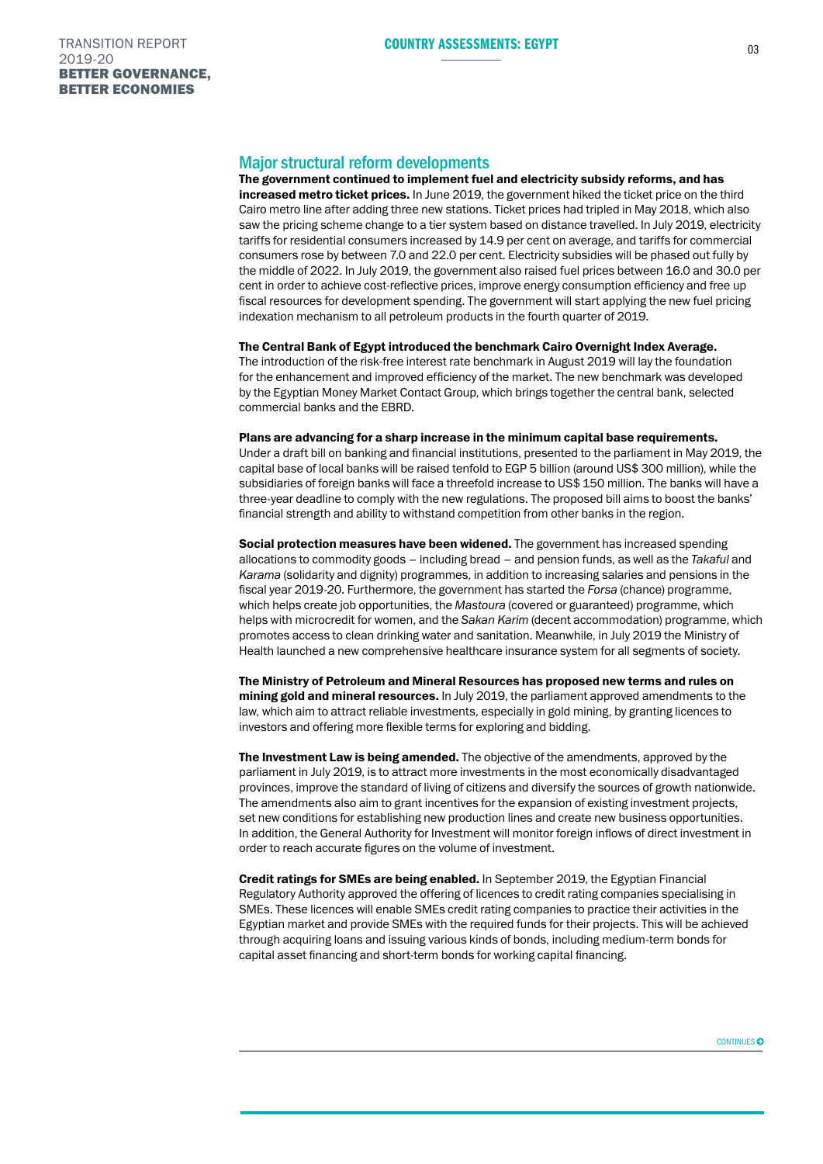# Major structural reform developments

The government continued to implement fuel and electricity subsidy reforms, and has increased metro ticket prices. In June 2019, the government hiked the ticket price on the third Cairo metro line after adding three new stations. Ticket prices had tripled in May 2018, which also saw the pricing scheme change to a tier system based on distance travelled. In July 2019, electricity tariffs for residential consumers increased by 14.9 per cent on average, and tariffs for commercial consumers rose by between 7.0 and 22.0 per cent. Electricity subsidies will be phased out fully by the middle of 2022. In July 2019, the government also raised fuel prices between 16.0 and 30.0 per cent in order to achieve cost-reflective prices, improve energy consumption efficiency and free up fiscal resources for development spending. The government will start applying the new fuel pricing indexation mechanism to all petroleum products in the fourth quarter of 2019.

### The Central Bank of Egypt introduced the benchmark Cairo Overnight Index Average.

The introduction of the risk-free interest rate benchmark in August 2019 will lay the foundation for the enhancement and improved efficiency of the market. The new benchmark was developed by the Egyptian Money Market Contact Group, which brings together the central bank, selected commercial banks and the EBRD.

# Plans are advancing for a sharp increase in the minimum capital base requirements.

Under a draft bill on banking and financial institutions, presented to the parliament in May 2019, the capital base of local banks will be raised tenfold to EGP 5 billion (around US\$ 300 million), while the subsidiaries of foreign banks will face a threefold increase to US\$ 150 million. The banks will have a three-year deadline to comply with the new regulations. The proposed bill aims to boost the banks' financial strength and ability to withstand competition from other banks in the region.

Social protection measures have been widened. The government has increased spending allocations to commodity goods – including bread – and pension funds, as well as the *Takaful* and *Karama* (solidarity and dignity) programmes, in addition to increasing salaries and pensions in the fiscal year 2019-20. Furthermore, the government has started the *Forsa* (chance) programme, which helps create job opportunities, the *Mastoura* (covered or guaranteed) programme, which helps with microcredit for women, and the *Sakan Karim* (decent accommodation) programme, which promotes access to clean drinking water and sanitation. Meanwhile, in July 2019 the Ministry of Health launched a new comprehensive healthcare insurance system for all segments of society.

The Ministry of Petroleum and Mineral Resources has proposed new terms and rules on mining gold and mineral resources. In July 2019, the parliament approved amendments to the law, which aim to attract reliable investments, especially in gold mining, by granting licences to investors and offering more flexible terms for exploring and bidding.

The Investment Law is being amended. The objective of the amendments, approved by the parliament in July 2019, is to attract more investments in the most economically disadvantaged provinces, improve the standard of living of citizens and diversify the sources of growth nationwide. The amendments also aim to grant incentives for the expansion of existing investment projects, set new conditions for establishing new production lines and create new business opportunities. In addition, the General Authority for Investment will monitor foreign inflows of direct investment in order to reach accurate figures on the volume of investment.

Credit ratings for SMEs are being enabled. In September 2019, the Egyptian Financial Regulatory Authority approved the offering of licences to credit rating companies specialising in SMEs. These licences will enable SMEs credit rating companies to practice their activities in the Egyptian market and provide SMEs with the required funds for their projects. This will be achieved through acquiring loans and issuing various kinds of bonds, including medium-term bonds for capital asset financing and short-term bonds for working capital financing.